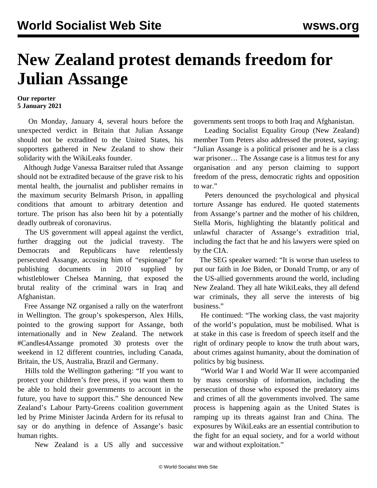## **New Zealand protest demands freedom for Julian Assange**

## **Our reporter 5 January 2021**

 On Monday, January 4, several hours before the unexpected verdict in Britain that Julian Assange should not be extradited to the United States, his supporters gathered in New Zealand to show their solidarity with the WikiLeaks founder.

 Although Judge Vanessa Baraitser ruled that Assange should not be extradited because of the grave risk to his mental health, the journalist and publisher remains in the maximum security Belmarsh Prison, in appalling conditions that amount to arbitrary detention and torture. The prison has also been hit by a potentially deadly outbreak of coronavirus.

 The US government will appeal against the verdict, further dragging out the judicial travesty. The Democrats and Republicans have relentlessly persecuted Assange, accusing him of "espionage" for publishing documents in 2010 supplied by whistleblower Chelsea Manning, that exposed the brutal reality of the criminal wars in Iraq and Afghanistan.

 Free Assange NZ organised a rally on the waterfront in Wellington. The group's spokesperson, Alex Hills, pointed to the growing support for Assange, both internationally and in New Zealand. The network #Candles4Assange promoted 30 protests over the weekend in 12 different countries, including Canada, Britain, the US, Australia, Brazil and Germany.

 Hills told the Wellington gathering: "If you want to protect your children's free press, if you want them to be able to hold their governments to account in the future, you have to support this." She denounced New Zealand's Labour Party-Greens coalition government led by Prime Minister Jacinda Ardern for its refusal to say or do anything in defence of Assange's basic human rights.

New Zealand is a US ally and successive

governments sent troops to both Iraq and Afghanistan.

 Leading Socialist Equality Group (New Zealand) member Tom Peters also [addressed](https://youtu.be/yStDtxjVzn8?t=19) the protest, saying: "Julian Assange is a political prisoner and he is a class war prisoner… The Assange case is a litmus test for any organisation and any person claiming to support freedom of the press, democratic rights and opposition to war."

 Peters denounced the psychological and physical torture Assange has endured. He quoted statements from Assange's partner and the mother of his children, Stella Moris, highlighting the blatantly political and unlawful character of Assange's extradition trial, including the fact that he and his lawyers were spied on by the CIA.

 The SEG speaker warned: "It is worse than useless to put our faith in Joe Biden, or Donald Trump, or any of the US-allied governments around the world, including New Zealand. They all hate WikiLeaks, they all defend war criminals, they all serve the interests of big business."

 He continued: "The working class, the vast majority of the world's population, must be mobilised. What is at stake in this case is freedom of speech itself and the right of ordinary people to know the truth about wars, about crimes against humanity, about the domination of politics by big business.

 "World War I and World War II were accompanied by mass censorship of information, including the persecution of those who exposed the predatory aims and crimes of all the governments involved. The same process is happening again as the United States is ramping up its threats against Iran and China. The exposures by WikiLeaks are an essential contribution to the fight for an equal society, and for a world without war and without exploitation."